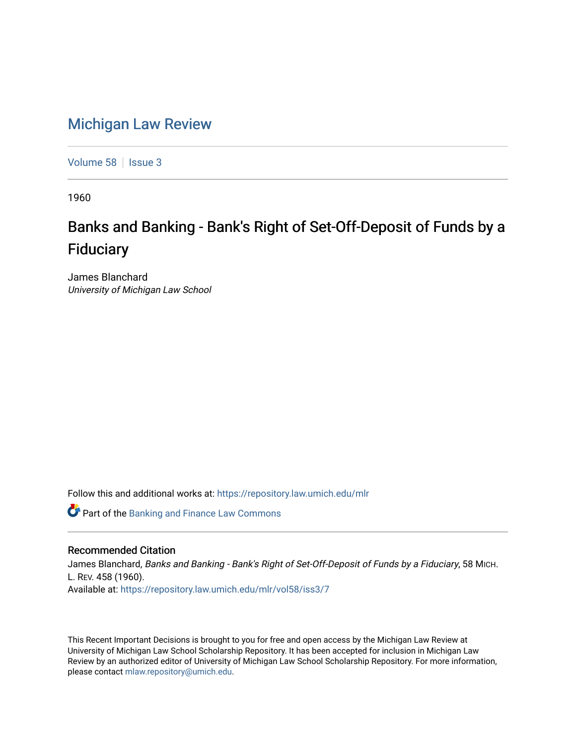## [Michigan Law Review](https://repository.law.umich.edu/mlr)

[Volume 58](https://repository.law.umich.edu/mlr/vol58) | [Issue 3](https://repository.law.umich.edu/mlr/vol58/iss3)

1960

## Banks and Banking - Bank's Right of Set-Off-Deposit of Funds by a **Fiduciary**

James Blanchard University of Michigan Law School

Follow this and additional works at: [https://repository.law.umich.edu/mlr](https://repository.law.umich.edu/mlr?utm_source=repository.law.umich.edu%2Fmlr%2Fvol58%2Fiss3%2F7&utm_medium=PDF&utm_campaign=PDFCoverPages) 

**C** Part of the Banking and Finance Law Commons

## Recommended Citation

James Blanchard, Banks and Banking - Bank's Right of Set-Off-Deposit of Funds by a Fiduciary, 58 MICH. L. REV. 458 (1960). Available at: [https://repository.law.umich.edu/mlr/vol58/iss3/7](https://repository.law.umich.edu/mlr/vol58/iss3/7?utm_source=repository.law.umich.edu%2Fmlr%2Fvol58%2Fiss3%2F7&utm_medium=PDF&utm_campaign=PDFCoverPages)

This Recent Important Decisions is brought to you for free and open access by the Michigan Law Review at University of Michigan Law School Scholarship Repository. It has been accepted for inclusion in Michigan Law Review by an authorized editor of University of Michigan Law School Scholarship Repository. For more information, please contact [mlaw.repository@umich.edu.](mailto:mlaw.repository@umich.edu)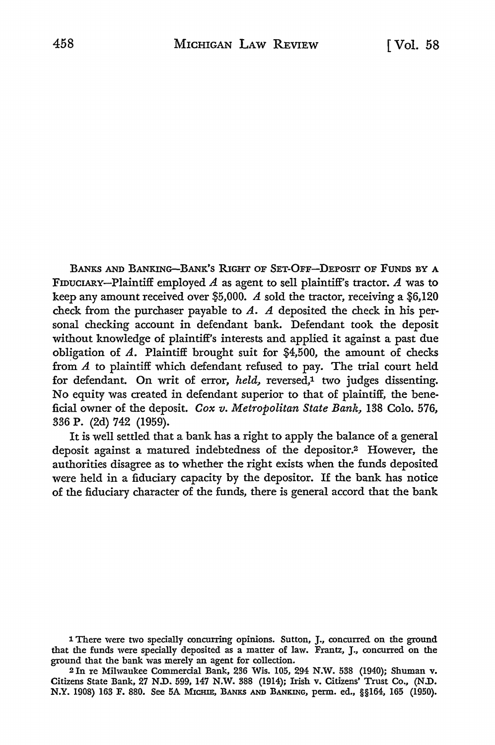BANKS AND BANKING-BANK'S RIGHT OF SET-OFF-DEPOSIT OF FUNDS BY A FIDUCIARY-Plaintiff employed *A* as agent to sell plaintiff's tractor. *A* was to keep any amount received over \$5,000. A sold the tractor, receiving a  $$6,120$ check from the purchaser payable to  $A$ .  $A$  deposited the check in his personal checking account in defendant bank. Defendant took the deposit without knowledge of plaintiff's interests and applied it against a past due obligation of  $A$ . Plaintiff brought suit for \$4,500, the amount of checks from A to plaintiff which defendant refused to pay. The trial court held for defendant. On writ of error, *held*, reversed,<sup>1</sup> two judges dissenting. No equity was created in defendant superior to that of plaintiff, the beneficial owner of the deposit. *Cox v. Metropolitan State Bank,* 138 Colo. 576, 336 P. (2d) 742 (1959).

It is well settled that a bank has a right to apply the balance of a general deposit against a matured indebtedness of the depositor.2 However, the authorities disagree as to whether the right exists when the funds deposited were held in a fiduciary capacity by the depositor. If the bank has notice of the fiduciary character of the funds, there is general accord that the bank

<sup>2</sup>In re Milwaukee Commercial Bank, 236 Wis. 105, 294 N.W. 538 (1940); Shuman v. Citizens State Bank, 27 N.D. 599, 147 N.W. 388 (1914); Irish v. Citizens' Trust Co., (N.D. N.Y. 1908) 163 F. 880. See 5A MICHIE, BANKS AND BANKING, perm. ed., §§164, 165 (1950).

<sup>1</sup> There were two specially concurring opinions. Sutton, J., concurred on the ground that the funds were specially deposited as a matter of law. Frantz, J., concurred on the ground that the bank was merely an agent for collection.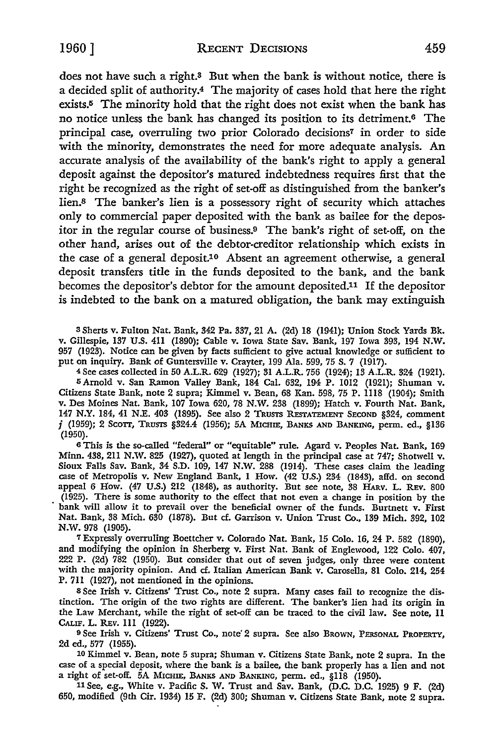does not have such a right.<sup>3</sup> But when the bank is without notice, there is a decided split of authority.4 The majority of cases hold that here the right exists.5 The minority hold that the right does not exist when the bank has no notice unless the bank has changed its position to its detriment.6 The principal case, overruling two prior Colorado decisions<sup>7</sup> in order to side with the minority, demonstrates the need for more adequate analysis. An accurate analysis of the availability of the bank's right to apply a general deposit against the depositor's matured indebtedness requires first that the right be recognized as the right of set-off as distinguished from the banker's lien.8 The banker's lien is a possessory right of security which attaches only to commercial paper deposited with the bank as bailee for the depositor in the regular course of business.9 The bank's right of set-off, on the other hand, arises out of the debtor-creditor relationship which exists in the case of a general deposit.10 Absent an agreement otherwise, a general deposit transfers title in the funds deposited to the bank, and the bank becomes the depositor's debtor for the amount deposited.11 If the depositor is indebted to the bank on a matured obligation, the bank may extinguish

3 Sherts v. Fulton Nat. Bank, 342 Pa. 337, 21 A. (2d) 18 (1941); Union Stock Yards Bk. v. Gillespie, 137 U.S. 411 (1890); Cable v. Iowa State Sav. Bank, 197 Iowa 393, 194 N.W. 957 (1923). Notice can be given by facts sufficient to give actual knowledge or sufficient to put on inquiry. Bank of Guntersville v. Crayter, 199 Ala. 599, 75 S. 7 (1917).

<sup>4</sup>See cases collected in 50 A.L.R. 629 (1927); 31 A.L.R. 756 (1924); 13 A.L.R. 324 (1921). 5 Arnold v. San Ramon Valley Bank, 184 Cal. 632, 194 P. 1012 (1921); Shuman v. Citizens State Bank, note 2 supra; Kimmel v. Bean, 68 Kan. 598, 75 P. 1118 (1904); Smith v. Des Moines Nat. Bank, 107 Iowa 620, 78 N.W. 238 (1899); Hatch v. Fourth Nat. Bank, 147 N.Y. 184, 41 N.E. 403 (1895). See also 2 TRUSTS RESTATEMENT SECOND §324, comment *j* (1959); 2 SCOTT, TRUSTS §324.4 (1956); 5A MICHIE, BANKS AND BANKING, perm. ed., §136 (1950).

<sup>6</sup>This is the so-called "federal" or "equitable" rule. Agard v. Peoples Nat. Bank, 169 Minn. 438, 211 N.W. 825 (1927), quoted at length in the principal case at 747; Shotwell v. Sioux Falls Sav. Bank, 34 S.D. 109, 147 **N.W.** 288 (1914). These cases claim the leading case of Metropolis v. New England Bank, I How. (42 U.S.) 234 (1843), affd. on second appeal 6 How. (47 U.S.) 212 (1848), as authority. But see note, 38 HARv. L. REv. 800 (1925). There is some authority to the effect that not even a change in position by the bank will allow it to prevail over the beneficial owner of the funds. Burtnett v. First Nat. Bank, 38 Mich. 630 (1878). But cf. Garrison v. Union Trust Co., 139 Mich. 392, 102 N.W. 978 (1905).

7 Expressly overruling Boettcher v. Colorado Nat. Bank, 15 Colo. 16, 24 P. 582 (1890), and modifying the opinion in Sherberg v. First Nat. Bank of Englewood, 122 Colo. 407, 222 P. (2d) 782 (1950). But consider that out of seven judges, only three were content with the majority opinion. And cf. Italian American Bank v. Carosella, 81 Colo. 214, 254 P. 711 (1927), not mentioned in the opinions.

8 See Irish v. Citizens' Trust Co., note 2 supra. Many cases fail to recognize the distinction. The origin of the two rights are different. The banker's lien had its origin in the Law Merchant, while the right of set-off can be traced to the civil law. See note, 11 CALIF. L. REv. 111 (1922).

9 See Irish v. Citizens' Trust Co., note' 2 supra. See also BROWN, PERSONAL PROPERTY, 2d ed., 577 (1955).

10 Kimmel v. Bean, note 5 supra; Shuman v. Citizens State Bank, note 2 supra. In the case of a special deposit, where the bank is a bailee, the bank properly has a lien and not a right of set-off. 5A MICHIE, BANKS AND BANKING, perm. ed., §118 (1950).

 $11$  See, e.g., White v. Pacific S. W. Trust and Sav. Bank, (D.C. D.C. 1925) 9 F. (2d) 650, modified (9th Cir. 1934) 15 F. (2d) 300; Shuman v. Citizens State Bank, note 2 supra.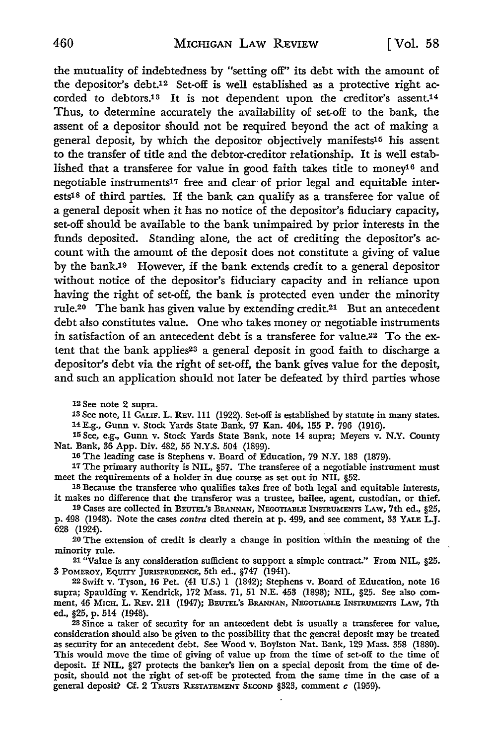the mutuality of indebtedness by "setting off" its debt with the amount of the depositor's debt.12 Set-off is well established as a protective right accorded to debtors.is It is not dependent upon the creditor's assent.14 Thus, to determine accurately the availability of set-off to the bank, the assent of a depositor should not be required beyond the act of making a general deposit, by which the depositor objectively manifests15 his assent to the transfer of title and the debtor-creditor relationship. It is well established that a transferee for value in good faith takes title to money16 and negotiable instruments17 free and clear of prior legal and equitable interests18 of third parties. If the bank can qualify as a transferee for value of a general deposit when it has no notice of the depositor's fiduciary capacity, set-off should be available to the bank unimpaired by prior interests in the funds deposited. Standing alone, the act of crediting the depositor's account with the amount of the deposit does not constitute a giving of value by the bank.<sup>19</sup> However, if the bank extends credit to a general depositor without notice of the depositor's fiduciary capacity and in reliance upon having the right of set-off, the bank is protected even under the minority rule.20 The bank has given value by extending credit.21 But an antecedent debt also constitutes value. One who takes money or negotiable instruments in satisfaction of an antecedent debt is a transferee for value.22 To the extent that the bank applies<sup>23</sup> a general deposit in good faith to discharge a depositor's debt via the right of set-off, the bank gives value for the deposit, and such an application should not later be defeated by third parties whose

12 See note 2 supra.

13 See note, 11 CALIF. L. REv. Ill (1922). Set-off is established by statute in many states. 14E.g., Gunn v. Stock Yards State Bank, 97 Kan. 404, 155 P. 796 (1916).

15 See, e.g., Gunn v. Stock Yards State Bank, note 14 supra; Meyers v. N.Y. County Nat. Bank, 36 App. Div. 482, 55 N.Y.S. 504 (1899).

16 The leading case is Stephens v. Board of Education, 79 N.Y. 183 (1879).

17 The primary authority is NIL, §57. The transferee of a negotiable instrument must meet the requirements of a holder *in* due course as set out in NIL §52.

18 Because the transferee who qualifies takes free of both legal and equitable interests, it makes no difference that the transferor was a trustee, bailee, agent, custodian, or thief.

19 Cases are collected in BEUTEL's BRANNAN, NEGOTIABLE INSTRUMENTS LAw, 7th ed., §25, p. 498 (1948). Note the cases *contra* cited therein at p. 499, and see comment, 33 YALE L.J. 628 (1924).

20 The extension of credit is clearly a change in position within the meaning of the minority rule.

21 "Value is any consideration sufficient to support a simple contract." From NIL, §25. 3 POMEROY, EQUITY JURISPRUDENCE, 5th ed., §747 (1941).

22 Swift v. Tyson, 16 Pet. (41 U.S.) 1 (1842); Stephens v. Board of Education, note 16 supra; Spaulding v. Kendrick, 172 Mass. 71, 51 N.E. 453 (1898); NIL, §25. See also comment, 46 MICH. L. REv. 211 (1947); BEUTEL's BRANNAN, NEGOTIABLE INSTRUMENTS LAW, 7th ed., §25, p. 514 (1948).

23 Since a taker of security for an antecedent debt is usually a transferee for value, consideration should also be given to the possibility that the general deposit may be treated as security for an antecedent debt. See Wood v. Boylston Nat. Bank, 129 Mass. 358 (1880). This would move the time of giving of value up from the time of set-off to the time of deposit. If NIL, §27 protects the banker's lien on a special deposit from the time of deposit, should not the right of set-off be protected from the same time in the case of a general deposit? Cf. 2 TRUSTS REsTATEMENT SECOND §323, comment *c* (1959).